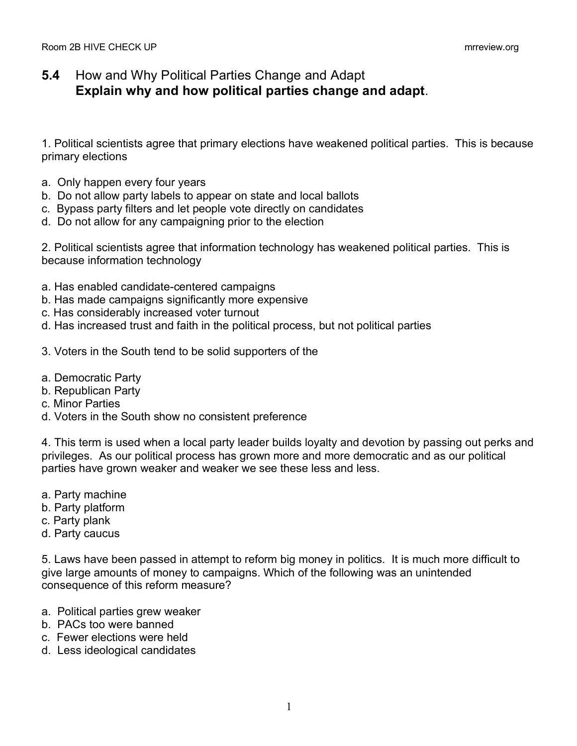## **5.4** How and Why Political Parties Change and Adapt **Explain why and how political parties change and adapt**.

1. Political scientists agree that primary elections have weakened political parties. This is because primary elections

- a. Only happen every four years
- b. Do not allow party labels to appear on state and local ballots
- c. Bypass party filters and let people vote directly on candidates
- d. Do not allow for any campaigning prior to the election

2. Political scientists agree that information technology has weakened political parties. This is because information technology

- a. Has enabled candidate-centered campaigns
- b. Has made campaigns significantly more expensive
- c. Has considerably increased voter turnout
- d. Has increased trust and faith in the political process, but not political parties
- 3. Voters in the South tend to be solid supporters of the
- a. Democratic Party
- b. Republican Party
- c. Minor Parties
- d. Voters in the South show no consistent preference

4. This term is used when a local party leader builds loyalty and devotion by passing out perks and privileges. As our political process has grown more and more democratic and as our political parties have grown weaker and weaker we see these less and less.

- a. Party machine
- b. Party platform
- c. Party plank
- d. Party caucus

5. Laws have been passed in attempt to reform big money in politics. It is much more difficult to give large amounts of money to campaigns. Which of the following was an unintended consequence of this reform measure?

- a. Political parties grew weaker
- b. PACs too were banned
- c. Fewer elections were held
- d. Less ideological candidates